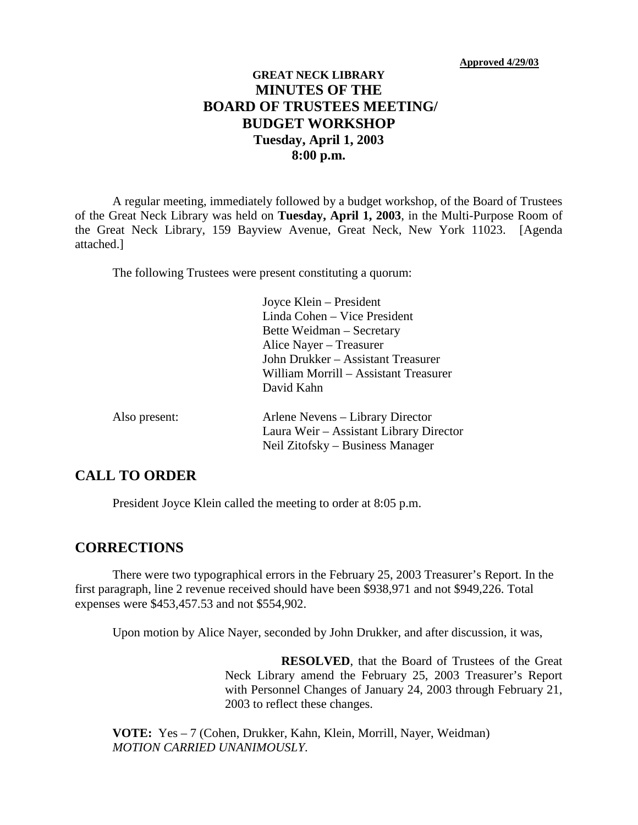# **GREAT NECK LIBRARY MINUTES OF THE BOARD OF TRUSTEES MEETING/ BUDGET WORKSHOP Tuesday, April 1, 2003 8:00 p.m.**

A regular meeting, immediately followed by a budget workshop, of the Board of Trustees of the Great Neck Library was held on **Tuesday, April 1, 2003**, in the Multi-Purpose Room of the Great Neck Library, 159 Bayview Avenue, Great Neck, New York 11023. [Agenda attached.]

The following Trustees were present constituting a quorum:

|               | Joyce Klein – President<br>Linda Cohen – Vice President<br>Bette Weidman – Secretary<br>Alice Nayer – Treasurer<br>John Drukker - Assistant Treasurer<br>William Morrill – Assistant Treasurer<br>David Kahn |
|---------------|--------------------------------------------------------------------------------------------------------------------------------------------------------------------------------------------------------------|
| Also present: | Arlene Nevens – Library Director<br>Laura Weir – Assistant Library Director<br>Neil Zitofsky – Business Manager                                                                                              |

### **CALL TO ORDER**

President Joyce Klein called the meeting to order at 8:05 p.m.

#### **CORRECTIONS**

There were two typographical errors in the February 25, 2003 Treasurer's Report. In the first paragraph, line 2 revenue received should have been \$938,971 and not \$949,226. Total expenses were \$453,457.53 and not \$554,902.

Upon motion by Alice Nayer, seconded by John Drukker, and after discussion, it was,

**RESOLVED**, that the Board of Trustees of the Great Neck Library amend the February 25, 2003 Treasurer's Report with Personnel Changes of January 24, 2003 through February 21, 2003 to reflect these changes.

**VOTE:** Yes – 7 (Cohen, Drukker, Kahn, Klein, Morrill, Nayer, Weidman) *MOTION CARRIED UNANIMOUSLY.*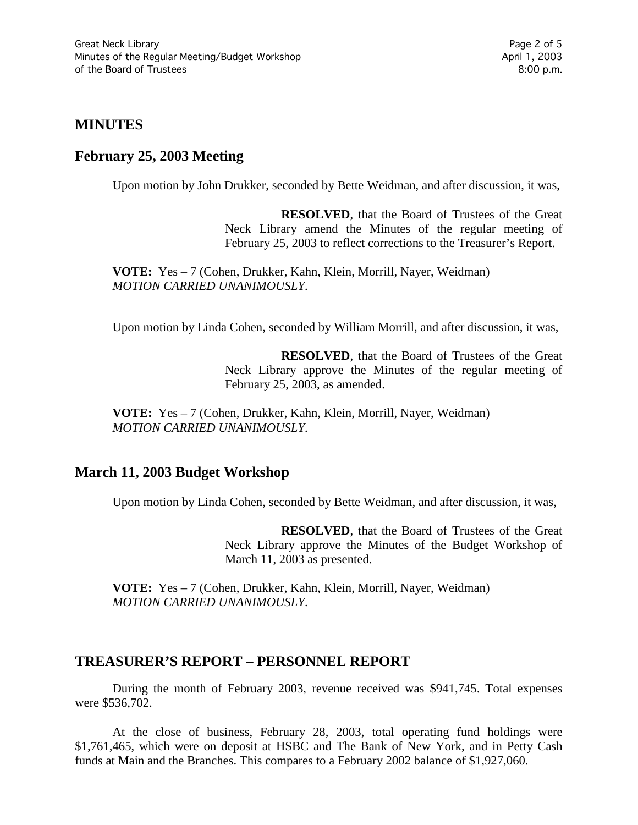### **MINUTES**

### **February 25, 2003 Meeting**

Upon motion by John Drukker, seconded by Bette Weidman, and after discussion, it was,

**RESOLVED**, that the Board of Trustees of the Great Neck Library amend the Minutes of the regular meeting of February 25, 2003 to reflect corrections to the Treasurer's Report.

**VOTE:** Yes – 7 (Cohen, Drukker, Kahn, Klein, Morrill, Nayer, Weidman) *MOTION CARRIED UNANIMOUSLY.*

Upon motion by Linda Cohen, seconded by William Morrill, and after discussion, it was,

**RESOLVED**, that the Board of Trustees of the Great Neck Library approve the Minutes of the regular meeting of February 25, 2003, as amended.

**VOTE:** Yes – 7 (Cohen, Drukker, Kahn, Klein, Morrill, Nayer, Weidman) *MOTION CARRIED UNANIMOUSLY.*

# **March 11, 2003 Budget Workshop**

Upon motion by Linda Cohen, seconded by Bette Weidman, and after discussion, it was,

**RESOLVED**, that the Board of Trustees of the Great Neck Library approve the Minutes of the Budget Workshop of March 11, 2003 as presented.

**VOTE:** Yes – 7 (Cohen, Drukker, Kahn, Klein, Morrill, Nayer, Weidman) *MOTION CARRIED UNANIMOUSLY.*

### **TREASURER'S REPORT – PERSONNEL REPORT**

During the month of February 2003, revenue received was \$941,745. Total expenses were \$536,702.

At the close of business, February 28, 2003, total operating fund holdings were \$1,761,465, which were on deposit at HSBC and The Bank of New York, and in Petty Cash funds at Main and the Branches. This compares to a February 2002 balance of \$1,927,060.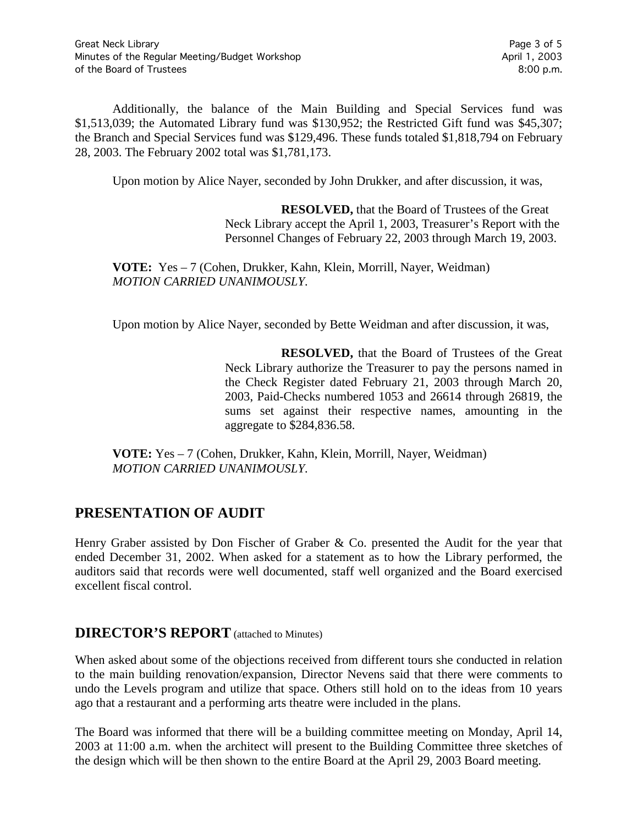Additionally, the balance of the Main Building and Special Services fund was \$1,513,039; the Automated Library fund was \$130,952; the Restricted Gift fund was \$45,307; the Branch and Special Services fund was \$129,496. These funds totaled \$1,818,794 on February 28, 2003. The February 2002 total was \$1,781,173.

Upon motion by Alice Nayer, seconded by John Drukker, and after discussion, it was,

**RESOLVED,** that the Board of Trustees of the Great Neck Library accept the April 1, 2003, Treasurer's Report with the Personnel Changes of February 22, 2003 through March 19, 2003.

**VOTE:** Yes – 7 (Cohen, Drukker, Kahn, Klein, Morrill, Nayer, Weidman) *MOTION CARRIED UNANIMOUSLY.*

Upon motion by Alice Nayer, seconded by Bette Weidman and after discussion, it was,

**RESOLVED,** that the Board of Trustees of the Great Neck Library authorize the Treasurer to pay the persons named in the Check Register dated February 21, 2003 through March 20, 2003, Paid-Checks numbered 1053 and 26614 through 26819, the sums set against their respective names, amounting in the aggregate to \$284,836.58.

**VOTE:** Yes – 7 (Cohen, Drukker, Kahn, Klein, Morrill, Nayer, Weidman) *MOTION CARRIED UNANIMOUSLY.*

# **PRESENTATION OF AUDIT**

Henry Graber assisted by Don Fischer of Graber & Co. presented the Audit for the year that ended December 31, 2002. When asked for a statement as to how the Library performed, the auditors said that records were well documented, staff well organized and the Board exercised excellent fiscal control.

### **DIRECTOR'S REPORT** (attached to Minutes)

When asked about some of the objections received from different tours she conducted in relation to the main building renovation/expansion, Director Nevens said that there were comments to undo the Levels program and utilize that space. Others still hold on to the ideas from 10 years ago that a restaurant and a performing arts theatre were included in the plans.

The Board was informed that there will be a building committee meeting on Monday, April 14, 2003 at 11:00 a.m. when the architect will present to the Building Committee three sketches of the design which will be then shown to the entire Board at the April 29, 2003 Board meeting.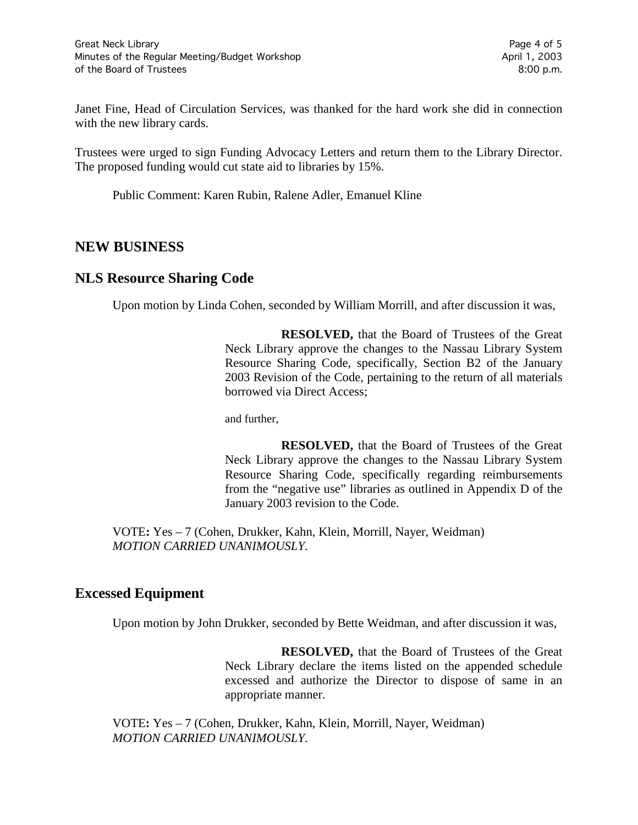Janet Fine, Head of Circulation Services, was thanked for the hard work she did in connection with the new library cards.

Trustees were urged to sign Funding Advocacy Letters and return them to the Library Director. The proposed funding would cut state aid to libraries by 15%.

Public Comment: Karen Rubin, Ralene Adler, Emanuel Kline

#### **NEW BUSINESS**

#### **NLS Resource Sharing Code**

Upon motion by Linda Cohen, seconded by William Morrill, and after discussion it was,

**RESOLVED,** that the Board of Trustees of the Great Neck Library approve the changes to the Nassau Library System Resource Sharing Code, specifically, Section B2 of the January 2003 Revision of the Code, pertaining to the return of all materials borrowed via Direct Access;

and further,

**RESOLVED,** that the Board of Trustees of the Great Neck Library approve the changes to the Nassau Library System Resource Sharing Code, specifically regarding reimbursements from the "negative use" libraries as outlined in Appendix D of the January 2003 revision to the Code.

VOTE**:** Yes – 7 (Cohen, Drukker, Kahn, Klein, Morrill, Nayer, Weidman) *MOTION CARRIED UNANIMOUSLY.*

### **Excessed Equipment**

Upon motion by John Drukker, seconded by Bette Weidman, and after discussion it was,

**RESOLVED,** that the Board of Trustees of the Great Neck Library declare the items listed on the appended schedule excessed and authorize the Director to dispose of same in an appropriate manner.

VOTE**:** Yes – 7 (Cohen, Drukker, Kahn, Klein, Morrill, Nayer, Weidman) *MOTION CARRIED UNANIMOUSLY.*